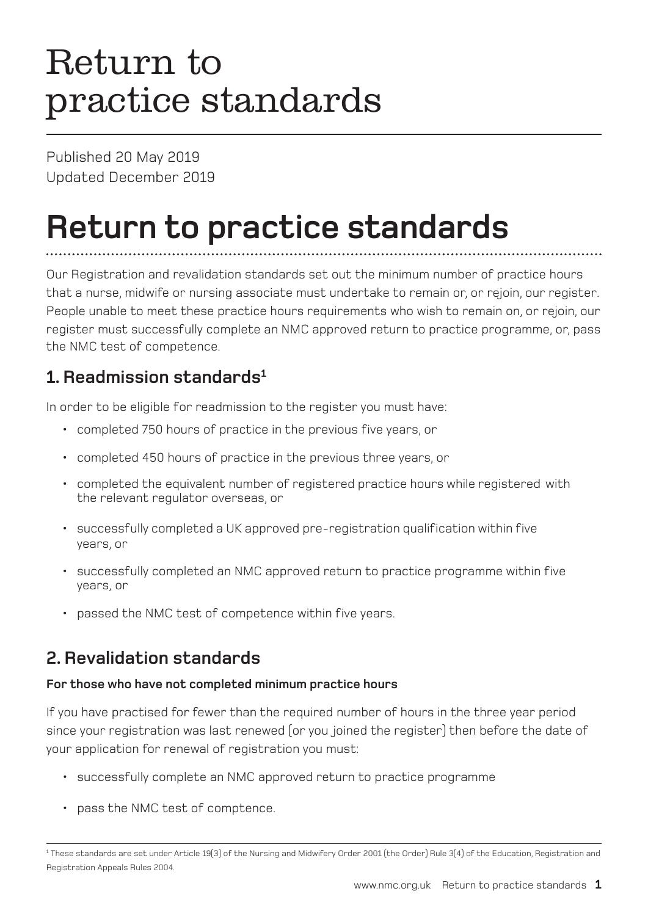# Return to practice standards

Published 20 May 2019 Updated December 2019

# **Return to practice standards**

Our Registration and revalidation standards set out the minimum number of practice hours that a nurse, midwife or nursing associate must undertake to remain or, or rejoin, our register. People unable to meet these practice hours requirements who wish to remain on, or rejoin, our register must successfully complete an NMC approved return to practice programme, or, pass the NMC test of competence.

### **1. Readmission standards<sup>1</sup>**

In order to be eligible for readmission to the register you must have:

- completed 750 hours of practice in the previous five years, or
- completed 450 hours of practice in the previous three years, or
- completed the equivalent number of registered practice hours while registered with the relevant regulator overseas, or
- successfully completed a UK approved pre-registration qualification within five years, or
- successfully completed an NMC approved return to practice programme within five years, or
- passed the NMC test of competence within five years.

### **2. Revalidation standards**

#### **For those who have not completed minimum practice hours**

If you have practised for fewer than the required number of hours in the three year period since your registration was last renewed (or you joined the register) then before the date of your application for renewal of registration you must:

- successfully complete an NMC approved return to practice programme
- pass the NMC test of comptence.

<sup>1</sup> These standards are set under Article 19(3) of the Nursing and Midwifery Order 2001 (the Order) Rule 3(4) of the Education, Registration and Registration Appeals Rules 2004.